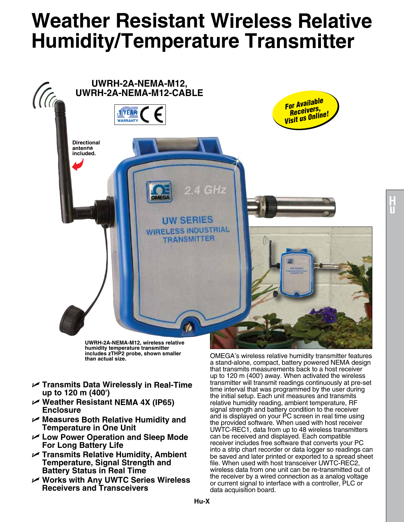## **Weather Resistant Wireless Relative Humidity/Temperature Transmitter**



**UWRH-2A-NEMA-M12, wireless relative humidity temperature transmitter includes zTHP2 probe, shown smaller** 

- U **Transmits Data Wirelessly in Real-Time up to 120 m (400')**
- U **Weather Resistant NEMA 4X (IP65) Enclosure**
- U **Measures Both Relative Humidity and Temperature in One Unit**
- U **Low Power Operation and Sleep Mode For Long Battery Life**
- U **Transmits Relative Humidity, Ambient Temperature, Signal Strength and Battery Status in Real Time**
- U **Works with Any UWTC Series Wireless Receivers and Transceivers**

**than actual size.** OMEGA's wireless relative humidity transmitter features a stand-alone, compact, battery powered NEMA design that transmits measurements back to a host receiver up to 120 m (400') away. When activated the wireless transmitter will transmit readings continuously at pre-set time interval that was programmed by the user during the initial setup. Each unit measures and transmits relative humidity reading, ambient temperature, RF signal strength and battery condition to the receiver and is displayed on your PC screen in real time using the provided software. When used with host receiver UWTC-REC1, data from up to 48 wireless transmitters can be received and displayed. Each compatible receiver includes free software that converts your PC into a strip chart recorder or data logger so readings can be saved and later printed or exported to a spread sheet file. When used with host transceiver UWTC-REC2, wireless data from one unit can be re-transmitted out of the receiver by a wired connection as a analog voltage or current signal to interface with a controller, PLC or data acquisition board.

**H u**